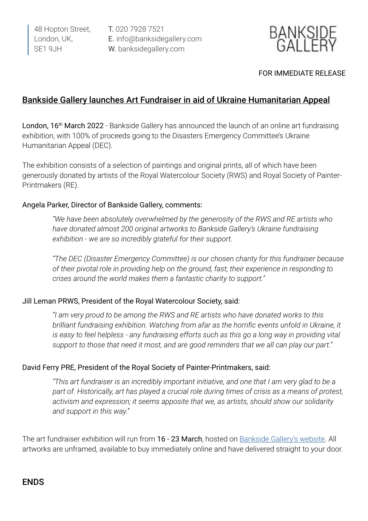48 Hopton Street, London, UK, SE1 9JH

T. 020 7928 7521 E. info@banksidegallery.com W. banksidegallery.com



#### FOR IMMEDIATE RELEASE

### Bankside Gallery launches Art Fundraiser in aid of Ukraine Humanitarian Appeal

London, 16<sup>th</sup> March 2022 - Bankside Gallery has announced the launch of an online art fundraising exhibition, with 100% of proceeds going to the Disasters Emergency Committee's Ukraine Humanitarian Appeal (DEC).

The exhibition consists of a selection of paintings and original prints, all of which have been generously donated by artists of the Royal Watercolour Society (RWS) and Royal Society of Painter-Printmakers (RE).

#### Angela Parker, Director of Bankside Gallery, comments:

*"We have been absolutely overwhelmed by the generosity of the RWS and RE artists who have donated almost 200 original artworks to Bankside Gallery's Ukraine fundraising exhibition - we are so incredibly grateful for their support.*

*"The DEC (Disaster Emergency Committee) is our chosen charity for this fundraiser because of their pivotal role in providing help on the ground, fast; their experience in responding to crises around the world makes them a fantastic charity to support."*

#### Jill Leman PRWS, President of the Royal Watercolour Society, said:

*"I am very proud to be among the RWS and RE artists who have donated works to this brilliant fundraising exhibition. Watching from afar as the horrific events unfold in Ukraine, it is easy to feel helpless - any fundraising efforts such as this go a long way in providing vital support to those that need it most, and are good reminders that we all can play our part."*

#### David Ferry PRE, President of the Royal Society of Painter-Printmakers, said:

*"This art fundraiser is an incredibly important initiative, and one that I am very glad to be a part of. Historically, art has played a crucial role during times of crisis as a means of protest, activism and expression; it seems apposite that we, as artists, should show our solidarity and support in this way."*

The art fundraiser exhibition will run from 16 - 23 March, hosted on [Bankside Gallery's website.](www.banksidegallery.com) All artworks are unframed, available to buy immediately online and have delivered straight to your door.

## ENDS